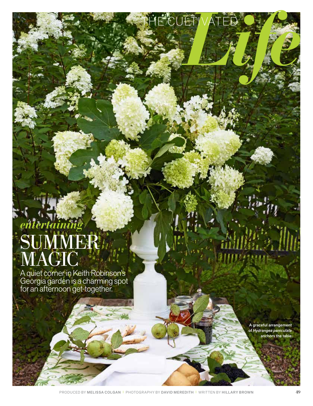## *entertaining* SUMMER **MAGIC**

A quiet corner in Keith Robinson's Georgia garden is a charming spot for an afternoon get-together.

> A graceful arrangement of *Hydrangea paniculata* anchors the table.

THE CULTIVATED OF CAR

PRODUCED BY MELISSA COLGAN <sup>|</sup> PHOTOGRAPHY BY DAVID MEREDITH <sup>|</sup> WRITTEN BY HILLARY BROWN 49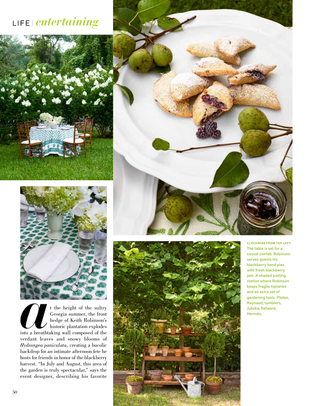## LIFE *entertaining*





t the height of the sultry Georgia summer, the front hedge of Keith Robinson's historic plantation explodes into a breathtaking wall composed of the verdant leaves and snowy blooms of *Hydrangea paniculata,* creating a bucolic backdrop for an intimate afternoon fete he hosts for friends in honor of the blackberry harvest. "In July and August, this area of the garden is truly spectacular," says the event designer, describing his favorite





**CLOCKWISE FROM TOP LEFT:** The table is set for a casual confab. Robinson serves guests his blackberry hand pies with fresh blackberry jam. A shaded potting station where Robinson keeps fragile topiaries and an extra set of gardening tools. Plates, Raynaud; tumblers,